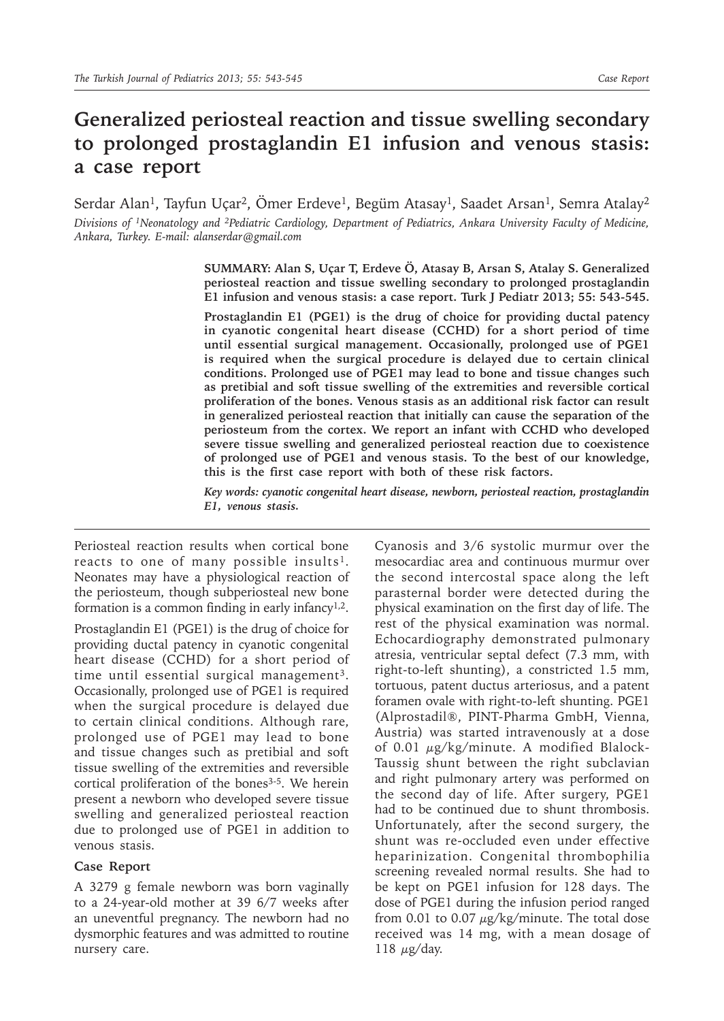# **Generalized periosteal reaction and tissue swelling secondary to prolonged prostaglandin E1 infusion and venous stasis: a case report**

Serdar Alan<sup>1</sup>, Tayfun Uçar<sup>2</sup>, Ömer Erdeve<sup>1</sup>, Begüm Atasay<sup>1</sup>, Saadet Arsan<sup>1</sup>, Semra Atalay<sup>2</sup> *Divisions of 1Neonatology and 2Pediatric Cardiology, Department of Pediatrics, Ankara University Faculty of Medicine, Ankara, Turkey. E-mail: alanserdar@gmail.com*

> **SUMMARY: Alan S, Uçar T, Erdeve Ö, Atasay B, Arsan S, Atalay S. Generalized periosteal reaction and tissue swelling secondary to prolonged prostaglandin E1 infusion and venous stasis: a case report. Turk J Pediatr 2013; 55: 543-545.**

> **Prostaglandin E1 (PGE1) is the drug of choice for providing ductal patency in cyanotic congenital heart disease (CCHD) for a short period of time until essential surgical management. Occasionally, prolonged use of PGE1 is required when the surgical procedure is delayed due to certain clinical conditions. Prolonged use of PGE1 may lead to bone and tissue changes such as pretibial and soft tissue swelling of the extremities and reversible cortical proliferation of the bones. Venous stasis as an additional risk factor can result in generalized periosteal reaction that initially can cause the separation of the periosteum from the cortex. We report an infant with CCHD who developed severe tissue swelling and generalized periosteal reaction due to coexistence of prolonged use of PGE1 and venous stasis. To the best of our knowledge, this is the first case report with both of these risk factors.**

> *Key words: cyanotic congenital heart disease, newborn, periosteal reaction, prostaglandin E1, venous stasis.*

Periosteal reaction results when cortical bone reacts to one of many possible insults<sup>1</sup>. Neonates may have a physiological reaction of the periosteum, though subperiosteal new bone formation is a common finding in early infancy<sup>1,2</sup>.

Prostaglandin E1 (PGE1) is the drug of choice for providing ductal patency in cyanotic congenital heart disease (CCHD) for a short period of time until essential surgical management<sup>3</sup>. Occasionally, prolonged use of PGE1 is required when the surgical procedure is delayed due to certain clinical conditions. Although rare, prolonged use of PGE1 may lead to bone and tissue changes such as pretibial and soft tissue swelling of the extremities and reversible cortical proliferation of the bones<sup>3-5</sup>. We herein present a newborn who developed severe tissue swelling and generalized periosteal reaction due to prolonged use of PGE1 in addition to venous stasis.

## **Case Report**

A 3279 g female newborn was born vaginally to a 24-year-old mother at 39 6/7 weeks after an uneventful pregnancy. The newborn had no dysmorphic features and was admitted to routine nursery care.

Cyanosis and 3/6 systolic murmur over the mesocardiac area and continuous murmur over the second intercostal space along the left parasternal border were detected during the physical examination on the first day of life. The rest of the physical examination was normal. Echocardiography demonstrated pulmonary atresia, ventricular septal defect (7.3 mm, with right-to-left shunting), a constricted 1.5 mm, tortuous, patent ductus arteriosus, and a patent foramen ovale with right-to-left shunting. PGE1 (Alprostadil®, PINT-Pharma GmbH, Vienna, Austria) was started intravenously at a dose of 0.01 μg/kg/minute. A modified Blalock-Taussig shunt between the right subclavian and right pulmonary artery was performed on the second day of life. After surgery, PGE1 had to be continued due to shunt thrombosis. Unfortunately, after the second surgery, the shunt was re-occluded even under effective heparinization. Congenital thrombophilia screening revealed normal results. She had to be kept on PGE1 infusion for 128 days. The dose of PGE1 during the infusion period ranged from 0.01 to 0.07  $\mu$ g/kg/minute. The total dose received was 14 mg, with a mean dosage of 118  $\mu$ g/day.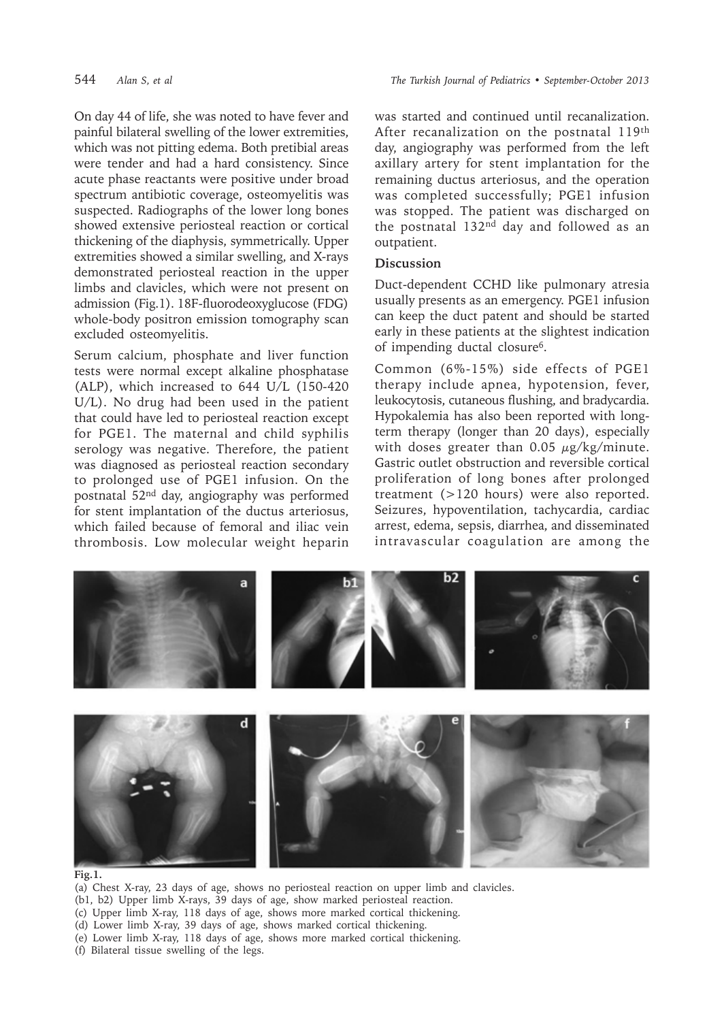On day 44 of life, she was noted to have fever and painful bilateral swelling of the lower extremities, which was not pitting edema. Both pretibial areas were tender and had a hard consistency. Since acute phase reactants were positive under broad spectrum antibiotic coverage, osteomyelitis was suspected. Radiographs of the lower long bones showed extensive periosteal reaction or cortical thickening of the diaphysis, symmetrically. Upper extremities showed a similar swelling, and X-rays demonstrated periosteal reaction in the upper limbs and clavicles, which were not present on admission (Fig.1). 18F-fluorodeoxyglucose (FDG) whole-body positron emission tomography scan excluded osteomyelitis.

Serum calcium, phosphate and liver function tests were normal except alkaline phosphatase (ALP), which increased to 644 U/L (150-420 U/L). No drug had been used in the patient that could have led to periosteal reaction except for PGE1. The maternal and child syphilis serology was negative. Therefore, the patient was diagnosed as periosteal reaction secondary to prolonged use of PGE1 infusion. On the postnatal 52nd day, angiography was performed for stent implantation of the ductus arteriosus, which failed because of femoral and iliac vein thrombosis. Low molecular weight heparin

was started and continued until recanalization. After recanalization on the postnatal 119th day, angiography was performed from the left axillary artery for stent implantation for the remaining ductus arteriosus, and the operation was completed successfully; PGE1 infusion was stopped. The patient was discharged on the postnatal 132nd day and followed as an outpatient.

## **Discussion**

Duct-dependent CCHD like pulmonary atresia usually presents as an emergency. PGE1 infusion can keep the duct patent and should be started early in these patients at the slightest indication of impending ductal closure6.

Common (6%-15%) side effects of PGE1 therapy include apnea, hypotension, fever, leukocytosis, cutaneous flushing, and bradycardia. Hypokalemia has also been reported with longterm therapy (longer than 20 days), especially with doses greater than 0.05  $\mu$ g/kg/minute. Gastric outlet obstruction and reversible cortical proliferation of long bones after prolonged treatment (>120 hours) were also reported. Seizures, hypoventilation, tachycardia, cardiac arrest, edema, sepsis, diarrhea, and disseminated intravascular coagulation are among the



### **Fig.1.**

(a) Chest X-ray, 23 days of age, shows no periosteal reaction on upper limb and clavicles. (b1, b2) Upper limb X-rays, 39 days of age, show marked periosteal reaction. (c) Upper limb X-ray, 118 days of age, shows more marked cortical thickening. (d) Lower limb X-ray, 39 days of age, shows marked cortical thickening. (e) Lower limb X-ray, 118 days of age, shows more marked cortical thickening.

(f) Bilateral tissue swelling of the legs.